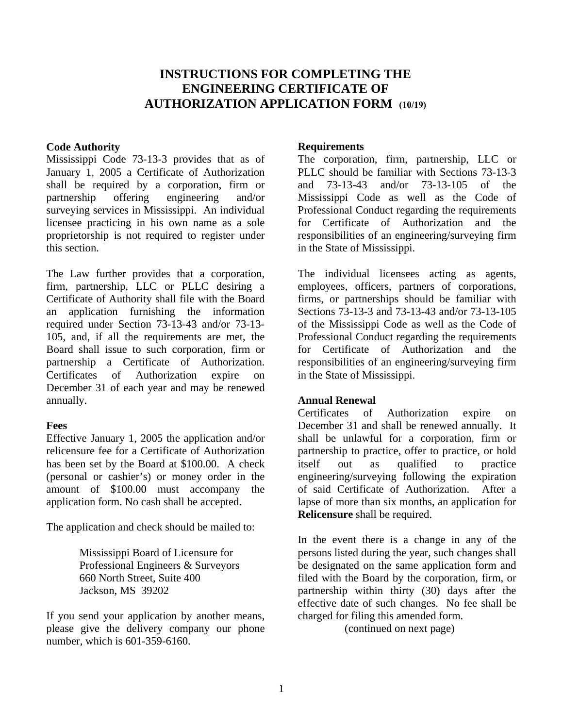# **INSTRUCTIONS FOR COMPLETING THE ENGINEERING CERTIFICATE OF AUTHORIZATION APPLICATION FORM (10/19)**

#### **Code Authority**

Mississippi Code 73-13-3 provides that as of January 1, 2005 a Certificate of Authorization shall be required by a corporation, firm or partnership offering engineering and/or surveying services in Mississippi. An individual licensee practicing in his own name as a sole proprietorship is not required to register under this section.

The Law further provides that a corporation, firm, partnership, LLC or PLLC desiring a Certificate of Authority shall file with the Board an application furnishing the information required under Section 73-13-43 and/or 73-13- 105, and, if all the requirements are met, the Board shall issue to such corporation, firm or partnership a Certificate of Authorization. Certificates of Authorization expire on December 31 of each year and may be renewed annually.

#### **Fees**

Effective January 1, 2005 the application and/or relicensure fee for a Certificate of Authorization has been set by the Board at \$100.00. A check (personal or cashier's) or money order in the amount of \$100.00 must accompany the application form. No cash shall be accepted.

The application and check should be mailed to:

Mississippi Board of Licensure for Professional Engineers & Surveyors 660 North Street, Suite 400 Jackson, MS 39202

If you send your application by another means, please give the delivery company our phone number, which is 601-359-6160.

### **Requirements**

The corporation, firm, partnership, LLC or PLLC should be familiar with Sections 73-13-3 and 73-13-43 and/or 73-13-105 of the Mississippi Code as well as the Code of Professional Conduct regarding the requirements for Certificate of Authorization and the responsibilities of an engineering/surveying firm in the State of Mississippi.

The individual licensees acting as agents, employees, officers, partners of corporations, firms, or partnerships should be familiar with Sections 73-13-3 and 73-13-43 and/or 73-13-105 of the Mississippi Code as well as the Code of Professional Conduct regarding the requirements for Certificate of Authorization and the responsibilities of an engineering/surveying firm in the State of Mississippi.

### **Annual Renewal**

Certificates of Authorization expire on December 31 and shall be renewed annually. It shall be unlawful for a corporation, firm or partnership to practice, offer to practice, or hold itself out as qualified to practice engineering/surveying following the expiration of said Certificate of Authorization. After a lapse of more than six months, an application for **Relicensure** shall be required.

In the event there is a change in any of the persons listed during the year, such changes shall be designated on the same application form and filed with the Board by the corporation, firm, or partnership within thirty (30) days after the effective date of such changes. No fee shall be charged for filing this amended form.

(continued on next page)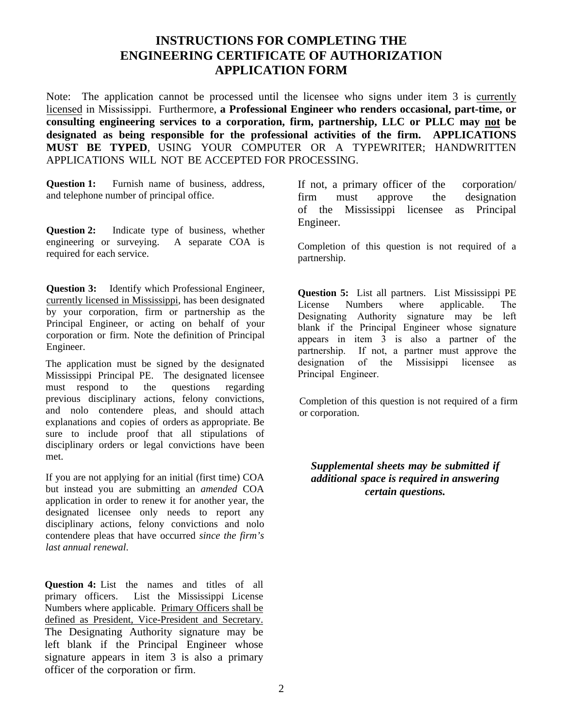# **INSTRUCTIONS FOR COMPLETING THE ENGINEERING CERTIFICATE OF AUTHORIZATION APPLICATION FORM**

Note: The application cannot be processed until the licensee who signs under item 3 is currently licensed in Mississippi. Furthermore, **a Professional Engineer who renders occasional, part-time, or consulting engineering services to a corporation, firm, partnership, LLC or PLLC may not be designated as being responsible for the professional activities of the firm. APPLICATIONS MUST BE TYPED**, USING YOUR COMPUTER OR A TYPEWRITER; HANDWRITTEN APPLICATIONS WILL NOT BE ACCEPTED FOR PROCESSING.

**Question 1:** Furnish name of business, address, and telephone number of principal office.

**Question 2:** Indicate type of business, whether engineering or surveying. A separate COA is required for each service.

**Question 3:** Identify which Professional Engineer, currently licensed in Mississippi, has been designated by your corporation, firm or partnership as the Principal Engineer, or acting on behalf of your corporation or firm. Note the definition of Principal Engineer.

The application must be signed by the designated Mississippi Principal PE. The designated licensee must respond to the questions regarding previous disciplinary actions, felony convictions, and nolo contendere pleas, and should attach explanations and copies of orders as appropriate. Be sure to include proof that all stipulations of disciplinary orders or legal convictions have been met.

If you are not applying for an initial (first time) COA but instead you are submitting an *amended* COA application in order to renew it for another year, the designated licensee only needs to report any disciplinary actions, felony convictions and nolo contendere pleas that have occurred *since the firm's last annual renewal*.

**Question 4:** List the names and titles of all primary officers. List the Mississippi License Numbers where applicable. Primary Officers shall be defined as President, Vice-President and Secretary. The Designating Authority signature may be left blank if the Principal Engineer whose signature appears in item 3 is also a primary officer of the corporation or firm.

If not, a primary officer of the corporation/ firm must approve the designation of the Mississippi licensee as Principal Engineer.

Completion of this question is not required of a partnership.

**Question 5:** List all partners. List Mississippi PE License Numbers where applicable. The Designating Authority signature may be left blank if the Principal Engineer whose signature appears in item 3 is also a partner of the partnership. If not, a partner must approve the designation of the Missisippi licensee as Principal Engineer.

Completion of this question is not required of a firm or corporation.

*Supplemental sheets may be submitted if additional space is required in answering certain questions.*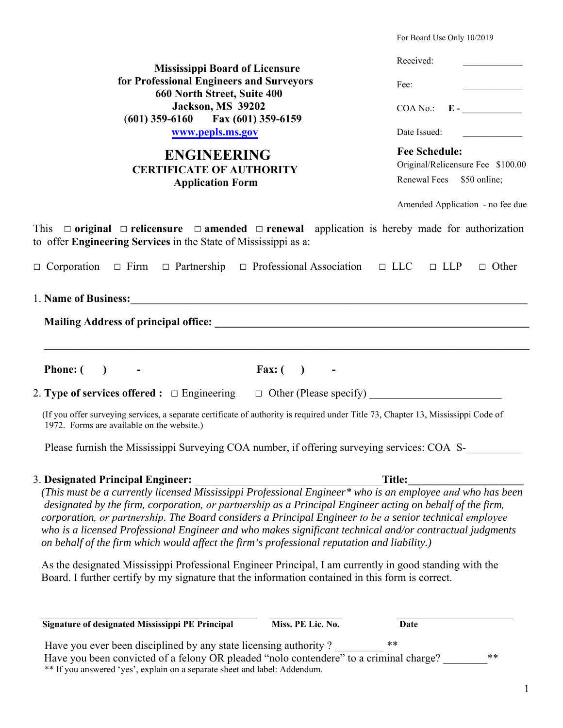|                                                                                                                                                                                                                                                                                                                                                                                                                                                                                                                                              | For Board Use Only 10/2019                                                             |
|----------------------------------------------------------------------------------------------------------------------------------------------------------------------------------------------------------------------------------------------------------------------------------------------------------------------------------------------------------------------------------------------------------------------------------------------------------------------------------------------------------------------------------------------|----------------------------------------------------------------------------------------|
| <b>Mississippi Board of Licensure</b><br>for Professional Engineers and Surveyors<br>660 North Street, Suite 400<br><b>Jackson, MS 39202</b><br>$(601)$ 359-6160 Fax $(601)$ 359-6159<br>www.pepls.ms.gov<br><b>ENGINEERING</b><br><b>CERTIFICATE OF AUTHORITY</b><br><b>Application Form</b>                                                                                                                                                                                                                                                | Received:                                                                              |
|                                                                                                                                                                                                                                                                                                                                                                                                                                                                                                                                              | Fee:                                                                                   |
|                                                                                                                                                                                                                                                                                                                                                                                                                                                                                                                                              | $COA No.: E$ -                                                                         |
|                                                                                                                                                                                                                                                                                                                                                                                                                                                                                                                                              | Date Issued:                                                                           |
|                                                                                                                                                                                                                                                                                                                                                                                                                                                                                                                                              | <b>Fee Schedule:</b><br>Original/Relicensure Fee \$100.00<br>Renewal Fees \$50 online; |
|                                                                                                                                                                                                                                                                                                                                                                                                                                                                                                                                              | Amended Application - no fee due                                                       |
| This $\Box$ original $\Box$ relicensure $\Box$ amended $\Box$ renewal application is hereby made for authorization<br>to offer Engineering Services in the State of Mississippi as a:                                                                                                                                                                                                                                                                                                                                                        |                                                                                        |
| $\Box$ Corporation $\Box$ Firm $\Box$ Partnership $\Box$ Professional Association $\Box$ LLC $\Box$ LLP                                                                                                                                                                                                                                                                                                                                                                                                                                      | $\Box$ Other                                                                           |
| 1. Name of Business: 1. 1. Name of Business:                                                                                                                                                                                                                                                                                                                                                                                                                                                                                                 |                                                                                        |
|                                                                                                                                                                                                                                                                                                                                                                                                                                                                                                                                              |                                                                                        |
|                                                                                                                                                                                                                                                                                                                                                                                                                                                                                                                                              |                                                                                        |
| <b>Phone:</b> $($<br>Fax: $( )$<br>$\blacksquare$                                                                                                                                                                                                                                                                                                                                                                                                                                                                                            |                                                                                        |
|                                                                                                                                                                                                                                                                                                                                                                                                                                                                                                                                              |                                                                                        |
| (If you offer surveying services, a separate certificate of authority is required under Title 73, Chapter 13, Mississippi Code of<br>1972. Forms are available on the website.)                                                                                                                                                                                                                                                                                                                                                              |                                                                                        |
| Please furnish the Mississippi Surveying COA number, if offering surveying services: COA S-                                                                                                                                                                                                                                                                                                                                                                                                                                                  |                                                                                        |
| 3. Designated Principal Engineer:                                                                                                                                                                                                                                                                                                                                                                                                                                                                                                            | <b>Title:</b>                                                                          |
| (This must be a currently licensed Mississippi Professional Engineer* who is an employee and who has been<br>designated by the firm, corporation, or partnership as a Principal Engineer acting on behalf of the firm,<br>corporation, or partnership. The Board considers a Principal Engineer to be a senior technical employee<br>who is a licensed Professional Engineer and who makes significant technical and/or contractual judgments<br>on behalf of the firm which would affect the firm's professional reputation and liability.) |                                                                                        |
| As the designated Mississippi Professional Engineer Principal, I am currently in good standing with the<br>Board. I further certify by my signature that the information contained in this form is correct.                                                                                                                                                                                                                                                                                                                                  |                                                                                        |
| Miss. PE Lic. No.<br>Signature of designated Mississippi PE Principal                                                                                                                                                                                                                                                                                                                                                                                                                                                                        | Date                                                                                   |
| Have you ever been disciplined by any state licensing authority?                                                                                                                                                                                                                                                                                                                                                                                                                                                                             | **                                                                                     |
| Have you been convicted of a felony OR pleaded "nolo contendere" to a criminal charge?<br>** If you answered 'yes', explain on a separate sheet and label: Addendum.                                                                                                                                                                                                                                                                                                                                                                         | **                                                                                     |